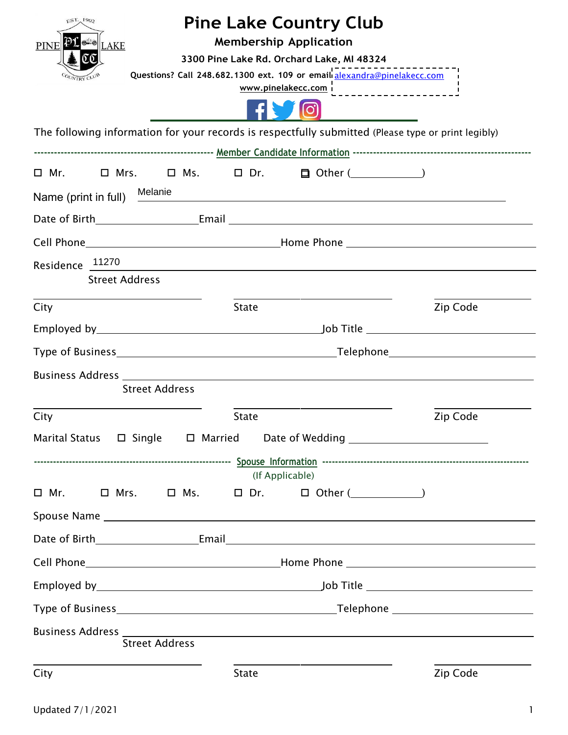| FST.1902<br>PINE PLOT LAKE                                                                          |              | <b>Pine Lake Country Club</b><br><b>Membership Application</b><br>3300 Pine Lake Rd. Orchard Lake, MI 48324<br>p<br>Questions? Call 248.682.1300 ext. 109 or email alexandra@pinelakecc.com |          |
|-----------------------------------------------------------------------------------------------------|--------------|---------------------------------------------------------------------------------------------------------------------------------------------------------------------------------------------|----------|
|                                                                                                     |              |                                                                                                                                                                                             |          |
| The following information for your records is respectfully submitted (Please type or print legibly) |              |                                                                                                                                                                                             |          |
|                                                                                                     |              |                                                                                                                                                                                             |          |
|                                                                                                     |              |                                                                                                                                                                                             |          |
| Name (print in full) Melanie                                                                        |              |                                                                                                                                                                                             |          |
|                                                                                                     |              |                                                                                                                                                                                             |          |
|                                                                                                     |              |                                                                                                                                                                                             |          |
| Residence 11270<br><b>Street Address</b>                                                            |              | <u> 1989 - Andrea Stationen, Amerikaansk politiker († 1908)</u>                                                                                                                             |          |
| City                                                                                                | <b>State</b> |                                                                                                                                                                                             | Zip Code |
|                                                                                                     |              |                                                                                                                                                                                             |          |
|                                                                                                     |              |                                                                                                                                                                                             |          |
|                                                                                                     |              |                                                                                                                                                                                             |          |
| <b>Street Address</b>                                                                               |              |                                                                                                                                                                                             |          |
| City                                                                                                | <b>State</b> |                                                                                                                                                                                             | Zip Code |
| Marital Status $\qquad \Box$ Single $\qquad \Box$ Married Date of Wedding $\qquad \qquad \Box$      |              |                                                                                                                                                                                             |          |
|                                                                                                     |              |                                                                                                                                                                                             |          |
| $\square$ Mr.<br>$\square$ Mrs.                                                                     |              | (If Applicable)<br>$\square$ Ms. $\square$ Dr. $\square$ Other ()                                                                                                                           |          |
|                                                                                                     |              |                                                                                                                                                                                             |          |
|                                                                                                     |              |                                                                                                                                                                                             |          |
|                                                                                                     |              |                                                                                                                                                                                             |          |
|                                                                                                     |              |                                                                                                                                                                                             |          |
|                                                                                                     |              |                                                                                                                                                                                             |          |
|                                                                                                     |              |                                                                                                                                                                                             |          |
| <b>Street Address</b>                                                                               |              |                                                                                                                                                                                             |          |
| City                                                                                                | <b>State</b> |                                                                                                                                                                                             | Zip Code |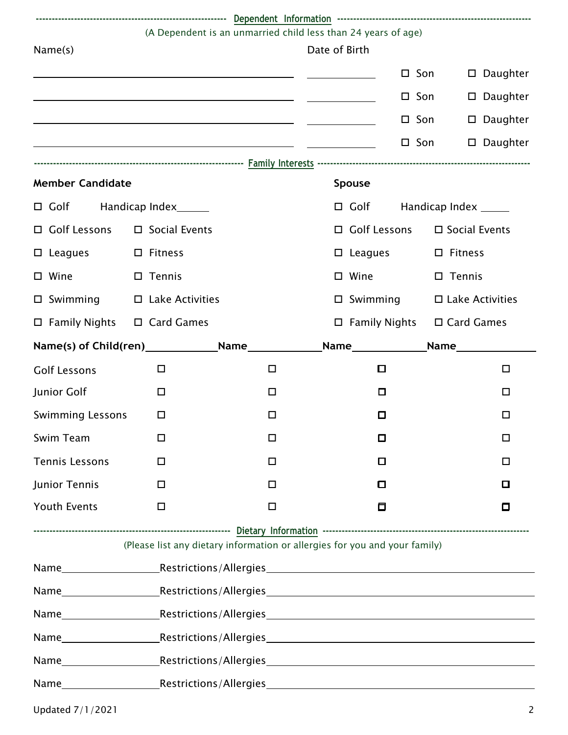|                                        | (A Dependent is an unmarried child less than 24 years of age)                                                                                                                                                                  |        | Date of Birth |                                        |                                   |                                                                                                                                                                                                                                     |  |
|----------------------------------------|--------------------------------------------------------------------------------------------------------------------------------------------------------------------------------------------------------------------------------|--------|---------------|----------------------------------------|-----------------------------------|-------------------------------------------------------------------------------------------------------------------------------------------------------------------------------------------------------------------------------------|--|
| Name(s)                                |                                                                                                                                                                                                                                |        |               |                                        |                                   |                                                                                                                                                                                                                                     |  |
|                                        |                                                                                                                                                                                                                                |        |               |                                        | $\square$ Son<br>$\Box$           | Daughter                                                                                                                                                                                                                            |  |
|                                        | <u> 1989 - Johann Barn, mars eta bat erroman erroman erroman erroman erroman erroman erroman erroman erroman err</u>                                                                                                           |        |               |                                        | $\square$ Son<br>$\Box$           | Daughter                                                                                                                                                                                                                            |  |
|                                        |                                                                                                                                                                                                                                |        |               |                                        | $\square$ Son<br>$\Box$           | Daughter                                                                                                                                                                                                                            |  |
|                                        |                                                                                                                                                                                                                                |        |               |                                        | $\square$ Son                     | $\square$ Daughter                                                                                                                                                                                                                  |  |
|                                        |                                                                                                                                                                                                                                |        |               |                                        |                                   |                                                                                                                                                                                                                                     |  |
| <b>Member Candidate</b>                |                                                                                                                                                                                                                                |        | Spouse        |                                        |                                   |                                                                                                                                                                                                                                     |  |
| □ Golf Handicap Index______            |                                                                                                                                                                                                                                |        |               |                                        | $\Box$ Golf Handicap Index ______ |                                                                                                                                                                                                                                     |  |
| □ Golf Lessons □ Social Events         |                                                                                                                                                                                                                                |        |               | □ Golf Lessons                         | $\square$ Social Events           |                                                                                                                                                                                                                                     |  |
| $\square$ Leagues                      | $\square$ Fitness                                                                                                                                                                                                              |        |               | $\square$ Leagues                      | $\square$ Fitness                 |                                                                                                                                                                                                                                     |  |
| □ Wine                                 | $\square$ Tennis                                                                                                                                                                                                               |        |               | $\square$ Wine                         | $\square$ Tennis                  |                                                                                                                                                                                                                                     |  |
| $\square$ Swimming                     | $\Box$ Lake Activities                                                                                                                                                                                                         |        |               | $\Box$ Swimming                        | $\square$ Lake Activities         |                                                                                                                                                                                                                                     |  |
| $\Box$ Family Nights $\Box$ Card Games |                                                                                                                                                                                                                                |        |               | $\Box$ Family Nights $\Box$ Card Games |                                   |                                                                                                                                                                                                                                     |  |
|                                        |                                                                                                                                                                                                                                |        |               | Name                                   |                                   | <b>Name</b> and the state of the state of the state of the state of the state of the state of the state of the state of the state of the state of the state of the state of the state of the state of the state of the state of the |  |
| <b>Golf Lessons</b>                    | $\Box$                                                                                                                                                                                                                         | $\Box$ |               | О                                      |                                   | $\Box$                                                                                                                                                                                                                              |  |
| Junior Golf                            | □                                                                                                                                                                                                                              | $\Box$ |               | $\Box$                                 |                                   | □                                                                                                                                                                                                                                   |  |
| <b>Swimming Lessons</b>                | □                                                                                                                                                                                                                              | $\Box$ |               | $\Box$                                 |                                   | □                                                                                                                                                                                                                                   |  |
| Swim Team                              | □                                                                                                                                                                                                                              | $\Box$ |               | $\Box$                                 |                                   | □                                                                                                                                                                                                                                   |  |
| <b>Tennis Lessons</b>                  | □                                                                                                                                                                                                                              | $\Box$ |               | □                                      |                                   | □                                                                                                                                                                                                                                   |  |
| Junior Tennis                          | $\Box$                                                                                                                                                                                                                         | $\Box$ |               | $\Box$                                 |                                   | О                                                                                                                                                                                                                                   |  |
| <b>Youth Events</b>                    | $\Box$                                                                                                                                                                                                                         | $\Box$ |               | 0                                      |                                   | О                                                                                                                                                                                                                                   |  |
|                                        | (Please list any dietary information or allergies for you and your family)                                                                                                                                                     |        |               |                                        |                                   |                                                                                                                                                                                                                                     |  |
|                                        |                                                                                                                                                                                                                                |        |               |                                        |                                   |                                                                                                                                                                                                                                     |  |
|                                        |                                                                                                                                                                                                                                |        |               |                                        |                                   |                                                                                                                                                                                                                                     |  |
|                                        |                                                                                                                                                                                                                                |        |               |                                        |                                   |                                                                                                                                                                                                                                     |  |
|                                        | Name Mame Mame Municipality Restrictions/Allergies Mame Municipality Restrictions and Municipality Restrictions and Municipality Restrictions and Municipality Restrictions and Municipality Restrictions and Municipality Res |        |               |                                        |                                   |                                                                                                                                                                                                                                     |  |
|                                        |                                                                                                                                                                                                                                |        |               |                                        |                                   |                                                                                                                                                                                                                                     |  |
|                                        |                                                                                                                                                                                                                                |        |               |                                        |                                   |                                                                                                                                                                                                                                     |  |
|                                        |                                                                                                                                                                                                                                |        |               |                                        |                                   |                                                                                                                                                                                                                                     |  |
|                                        |                                                                                                                                                                                                                                |        |               |                                        |                                   |                                                                                                                                                                                                                                     |  |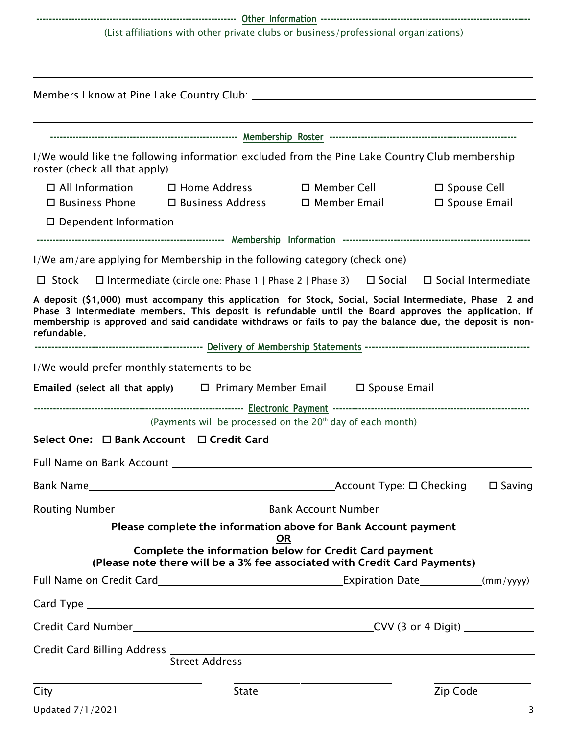**--------------------------------------------------------------- Other Information ------------------------------------------------------------------**

*(List affiliations with other private clubs or business/professional organizations)*

| roster (check all that apply)                   | I/We would like the following information excluded from the Pine Lake Country Club membership                                                                                                                                                                                                                                |                                                                      |                                         |
|-------------------------------------------------|------------------------------------------------------------------------------------------------------------------------------------------------------------------------------------------------------------------------------------------------------------------------------------------------------------------------------|----------------------------------------------------------------------|-----------------------------------------|
| $\Box$ All Information<br>$\Box$ Business Phone | $\square$ Home Address                                                                                                                                                                                                                                                                                                       | $\square$ Member Cell<br>$\Box$ Business Address $\Box$ Member Email | $\square$ Spouse Cell<br>□ Spouse Email |
| $\square$ Dependent Information                 |                                                                                                                                                                                                                                                                                                                              |                                                                      |                                         |
|                                                 |                                                                                                                                                                                                                                                                                                                              |                                                                      |                                         |
|                                                 | I/We am/are applying for Membership in the following category (check one)                                                                                                                                                                                                                                                    |                                                                      |                                         |
| $\Box$ Stock                                    | $\Box$ Intermediate (circle one: Phase 1   Phase 2   Phase 3) $\Box$ Social                                                                                                                                                                                                                                                  |                                                                      | $\Box$ Social Intermediate              |
| refundable.                                     | A deposit (\$1,000) must accompany this application for Stock, Social, Social Intermediate, Phase 2 and<br>Phase 3 Intermediate members. This deposit is refundable until the Board approves the application. If<br>membership is approved and said candidate withdraws or fails to pay the balance due, the deposit is non- |                                                                      |                                         |
|                                                 | I/We would prefer monthly statements to be                                                                                                                                                                                                                                                                                   |                                                                      |                                         |
|                                                 | <b>Emailed</b> (select all that apply) $\Box$ Primary Member Email $\Box$ Spouse Email                                                                                                                                                                                                                                       |                                                                      |                                         |
|                                                 | (Payments will be processed on the 20 <sup>th</sup> day of each month)                                                                                                                                                                                                                                                       |                                                                      |                                         |
|                                                 | Select One: □ Bank Account □ Credit Card                                                                                                                                                                                                                                                                                     |                                                                      |                                         |
|                                                 | Full Name on Bank Account The Control of the Control of the Control of The Control of the Control of The Control of The Control of The Control of The Control of The Control of The Control of The Control of The Control of T                                                                                               |                                                                      |                                         |
|                                                 |                                                                                                                                                                                                                                                                                                                              |                                                                      | $\square$ Saving                        |
|                                                 |                                                                                                                                                                                                                                                                                                                              |                                                                      |                                         |
|                                                 | Please complete the information above for Bank Account payment                                                                                                                                                                                                                                                               |                                                                      |                                         |
|                                                 | Complete the information below for Credit Card payment<br>(Please note there will be a 3% fee associated with Credit Card Payments)                                                                                                                                                                                          | OR                                                                   |                                         |
|                                                 |                                                                                                                                                                                                                                                                                                                              |                                                                      |                                         |
|                                                 |                                                                                                                                                                                                                                                                                                                              |                                                                      |                                         |
|                                                 | Credit Card Number Credit Card Number Credit Card Number Credit Card Number Credit Card Number Credit Card Number Credit Credit Credit Credit Credit Credit Credit Credit Credit Credit Credit Credit Credit Credit Credit Cre                                                                                               |                                                                      |                                         |
|                                                 |                                                                                                                                                                                                                                                                                                                              |                                                                      |                                         |
|                                                 | <b>Street Address</b>                                                                                                                                                                                                                                                                                                        |                                                                      |                                         |
| City                                            | State                                                                                                                                                                                                                                                                                                                        |                                                                      | Zip Code                                |